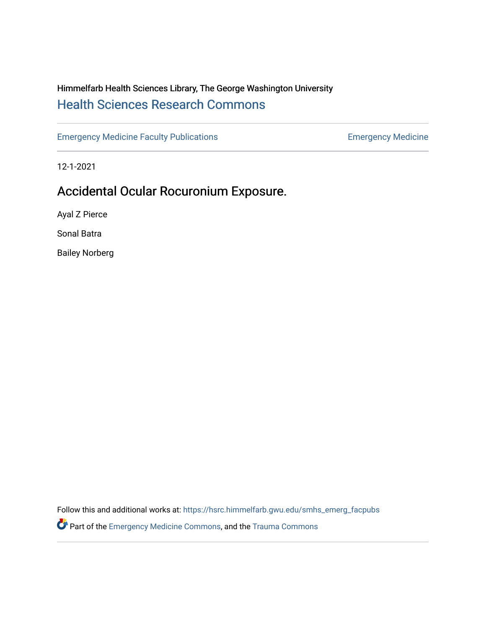## Himmelfarb Health Sciences Library, The George Washington University [Health Sciences Research Commons](https://hsrc.himmelfarb.gwu.edu/)

[Emergency Medicine Faculty Publications](https://hsrc.himmelfarb.gwu.edu/smhs_emerg_facpubs) **Emergency Medicine** Emergency Medicine

12-1-2021

# Accidental Ocular Rocuronium Exposure.

Ayal Z Pierce

Sonal Batra

Bailey Norberg

Follow this and additional works at: [https://hsrc.himmelfarb.gwu.edu/smhs\\_emerg\\_facpubs](https://hsrc.himmelfarb.gwu.edu/smhs_emerg_facpubs?utm_source=hsrc.himmelfarb.gwu.edu%2Fsmhs_emerg_facpubs%2F1138&utm_medium=PDF&utm_campaign=PDFCoverPages) 

Part of the [Emergency Medicine Commons](http://network.bepress.com/hgg/discipline/685?utm_source=hsrc.himmelfarb.gwu.edu%2Fsmhs_emerg_facpubs%2F1138&utm_medium=PDF&utm_campaign=PDFCoverPages), and the [Trauma Commons](http://network.bepress.com/hgg/discipline/1240?utm_source=hsrc.himmelfarb.gwu.edu%2Fsmhs_emerg_facpubs%2F1138&utm_medium=PDF&utm_campaign=PDFCoverPages)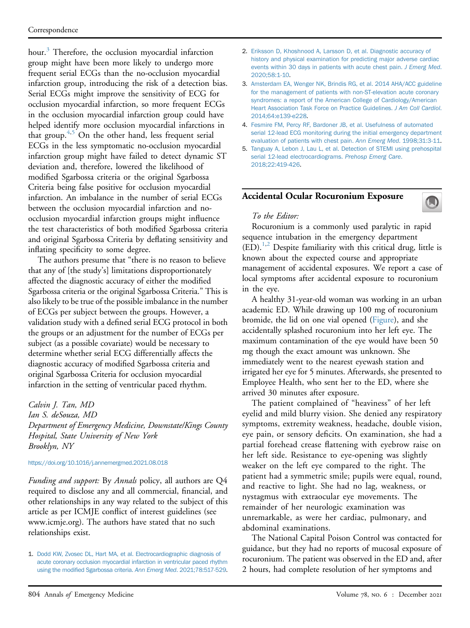hour. $3$  Therefore, the occlusion myocardial infarction group might have been more likely to undergo more frequent serial ECGs than the no-occlusion myocardial infarction group, introducing the risk of a detection bias. Serial ECGs might improve the sensitivity of ECG for occlusion myocardial infarction, so more frequent ECGs in the occlusion myocardial infarction group could have helped identify more occlusion myocardial infarctions in that group. $4,5$  $4,5$  On the other hand, less frequent serial ECGs in the less symptomatic no-occlusion myocardial infarction group might have failed to detect dynamic ST deviation and, therefore, lowered the likelihood of modified Sgarbossa criteria or the original Sgarbossa Criteria being false positive for occlusion myocardial infarction. An imbalance in the number of serial ECGs between the occlusion myocardial infarction and noocclusion myocardial infarction groups might influence the test characteristics of both modified Sgarbossa criteria and original Sgarbossa Criteria by deflating sensitivity and inflating specificity to some degree.

The authors presume that "there is no reason to believe that any of [the study's] limitations disproportionately affected the diagnostic accuracy of either the modified Sgarbossa criteria or the original Sgarbossa Criteria." This is also likely to be true of the possible imbalance in the number of ECGs per subject between the groups. However, a validation study with a defined serial ECG protocol in both the groups or an adjustment for the number of ECGs per subject (as a possible covariate) would be necessary to determine whether serial ECG differentially affects the diagnostic accuracy of modified Sgarbossa criteria and original Sgarbossa Criteria for occlusion myocardial infarction in the setting of ventricular paced rhythm.

Calvin J. Tan, MD Ian S. deSouza, MD Department of Emergency Medicine, Downstate/Kings County Hospital, State University of New York Brooklyn, NY

#### <https://doi.org/10.1016/j.annemergmed.2021.08.018>

Funding and support: By Annals policy, all authors are Q4 required to disclose any and all commercial, financial, and other relationships in any way related to the subject of this article as per ICMJE conflict of interest guidelines (see www.icmje.org). The authors have stated that no such relationships exist.

1. [Dodd KW, Zvosec DL, Hart MA, et al. Electrocardiographic diagnosis of](http://refhub.elsevier.com/S0196-0644(21)01288-9/sref0) [acute coronary occlusion myocardial infarction in ventricular paced rhythm](http://refhub.elsevier.com/S0196-0644(21)01288-9/sref0) using the modifi[ed Sgarbossa criteria.](http://refhub.elsevier.com/S0196-0644(21)01288-9/sref0) Ann Emerg Med. 2021;78:517-529.

- 2. [Eriksson D, Khoshnood A, Larsson D, et al. Diagnostic accuracy of](http://refhub.elsevier.com/S0196-0644(21)01288-9/sref2) [history and physical examination for predicting major adverse cardiac](http://refhub.elsevier.com/S0196-0644(21)01288-9/sref2) [events within 30 days in patients with acute chest pain.](http://refhub.elsevier.com/S0196-0644(21)01288-9/sref2) J Emerg Med. [2020;58:1-10](http://refhub.elsevier.com/S0196-0644(21)01288-9/sref2).
- <span id="page-1-0"></span>3. [Amsterdam EA, Wenger NK, Brindis RG, et al. 2014 AHA/ACC guideline](http://refhub.elsevier.com/S0196-0644(21)01288-9/sref3) [for the management of patients with non-ST-elevation acute coronary](http://refhub.elsevier.com/S0196-0644(21)01288-9/sref3) [syndromes: a report of the American College of Cardiology/American](http://refhub.elsevier.com/S0196-0644(21)01288-9/sref3) [Heart Association Task Force on Practice Guidelines.](http://refhub.elsevier.com/S0196-0644(21)01288-9/sref3) J Am Coll Cardiol. [2014;64:e139-e228.](http://refhub.elsevier.com/S0196-0644(21)01288-9/sref3)
- <span id="page-1-1"></span>4. [Fesmire FM, Percy RF, Bardoner JB, et al. Usefulness of automated](http://refhub.elsevier.com/S0196-0644(21)01288-9/sref4) [serial 12-lead ECG monitoring during the initial emergency department](http://refhub.elsevier.com/S0196-0644(21)01288-9/sref4) [evaluation of patients with chest pain.](http://refhub.elsevier.com/S0196-0644(21)01288-9/sref4) Ann Emerg Med. 1998;31:3-11.
- <span id="page-1-2"></span>5. [Tanguay A, Lebon J, Lau L, et al. Detection of STEMI using prehospital](http://refhub.elsevier.com/S0196-0644(21)01288-9/sref5) [serial 12-lead electrocardiograms.](http://refhub.elsevier.com/S0196-0644(21)01288-9/sref5) Prehosp Emerg Care. [2018;22:419-426](http://refhub.elsevier.com/S0196-0644(21)01288-9/sref5).

## Accidental Ocular Rocuronium Exposure

#### To the Editor:

Rocuronium is a commonly used paralytic in rapid sequence intubation in the emergency department  $(ED).$ <sup>[1,](#page-2-0)[2](#page-2-1)</sup> Despite familiarity with this critical drug, little is known about the expected course and appropriate management of accidental exposures. We report a case of local symptoms after accidental exposure to rocuronium in the eye.

A healthy 31-year-old woman was working in an urban academic ED. While drawing up 100 mg of rocuronium bromide, the lid on one vial opened [\(Figure](#page-2-2)), and she accidentally splashed rocuronium into her left eye. The maximum contamination of the eye would have been 50 mg though the exact amount was unknown. She immediately went to the nearest eyewash station and irrigated her eye for 5 minutes. Afterwards, she presented to Employee Health, who sent her to the ED, where she arrived 30 minutes after exposure.

The patient complained of "heaviness" of her left eyelid and mild blurry vision. She denied any respiratory symptoms, extremity weakness, headache, double vision, eye pain, or sensory deficits. On examination, she had a partial forehead crease flattening with eyebrow raise on her left side. Resistance to eye-opening was slightly weaker on the left eye compared to the right. The patient had a symmetric smile; pupils were equal, round, and reactive to light. She had no lag, weakness, or nystagmus with extraocular eye movements. The remainder of her neurologic examination was unremarkable, as were her cardiac, pulmonary, and abdominal examinations.

The National Capital Poison Control was contacted for guidance, but they had no reports of mucosal exposure of rocuronium. The patient was observed in the ED and, after 2 hours, had complete resolution of her symptoms and